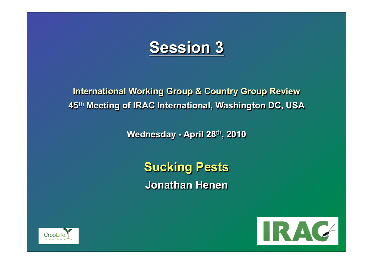# **Session 3**

**International Working Group & Country Group Review 45th Meeting of IRAC International, Washington DC, USA** 

**Wednesday - April 28th, 2010** 

**Sucking Pests Jonathan Henen** 



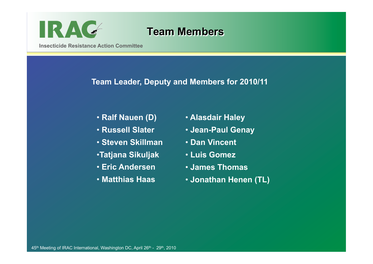

### **Team Members**

**Insecticide Resistance Action Committee** 

### **Team Leader, Deputy and Members for 2010/11**

- **Ralf Nauen (D)**
- • **Russell Slater**
- • **Steven Skillman**
- •**Tatjana Sikuljak**
- • **Eric Andersen**
- • **Matthias Haas**
- • **Alasdair Haley**
- • **Jean-Paul Genay**
- • **Dan Vincent**
- • **Luis Gomez**
- • **James Thomas**
- • **Jonathan Henen (TL)**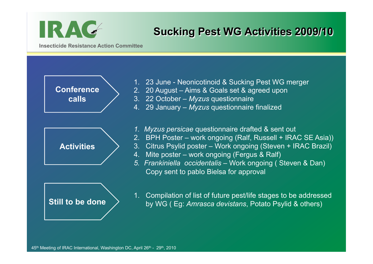

# **Sucking Pest WG Activities 2009/10**

**Insecticide Resistance Action Committee** 



- 1. 23 June Neonicotinoid & Sucking Pest WG merger
- 2. 20 August Aims & Goals set & agreed upon
- 3. 22 October *Myzus* questionnaire
- 4. 29 January *Myzus* questionnaire finalized
- *1. Myzus persicae* questionnaire drafted & sent out
- 2. BPH Poster work ongoing (Ralf, Russell + IRAC SE Asia))
- 3. Citrus Psylid poster Work ongoing (Steven + IRAC Brazil)
- 4. Mite poster work ongoing (Fergus & Ralf)
- *5. Frankiniella occidentalis* Work ongoing ( Steven & Dan) Copy sent to pablo Bielsa for approval

1. Compilation of list of future pest/life stages to be addressed by WG ( Eg: *Amrasca devistans*, Potato Psylid & others)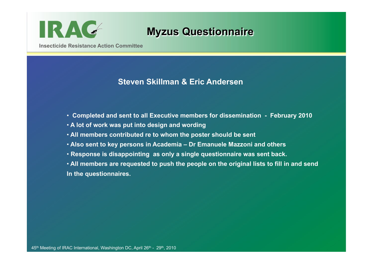

## **Myzus Questionnaire**

**Insecticide Resistance Action Committee** 

### **Steven Skillman & Eric Andersen**

- • **Completed and sent to all Executive members for dissemination February 2010**
- • **A lot of work was put into design and wording**
- • **All members contributed re to whom the poster should be sent**
- • **Also sent to key persons in Academia Dr Emanuele Mazzoni and others**
- • **Response is disappointing as only a single questionnaire was sent back.**
- • **All members are requested to push the people on the original lists to fill in and send In the questionnaires.**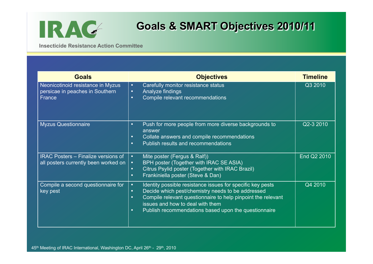

# **Goals & SMART Objectives 2010/11**

**Insecticide Resistance Action Committee** 

| <b>Goals</b>                                                                       | <b>Objectives</b>                                                                                                                                                                                                                                                                                                               | <b>Timeline</b> |
|------------------------------------------------------------------------------------|---------------------------------------------------------------------------------------------------------------------------------------------------------------------------------------------------------------------------------------------------------------------------------------------------------------------------------|-----------------|
| Neonicotinoid resistance in Myzus<br>persicae in peaches in Southern<br>France     | Carefully monitor resistance status<br>$\bullet$<br>Analyze findings<br>$\bullet$<br>Compile relevant recommendations<br>$\bullet$                                                                                                                                                                                              | Q3 2010         |
| <b>Myzus Questionnaire</b>                                                         | Push for more people from more diverse backgrounds to<br>$\bullet$<br>answer<br>Collate answers and compile recommendations<br>$\bullet$<br>Publish results and recommendations<br>$\bullet$                                                                                                                                    | Q2-3 2010       |
| <b>IRAC Posters - Finalize versions of</b><br>all posters currently been worked on | Mite poster (Fergus & Ralf))<br>$\bullet$<br>BPH poster (Together with IRAC SE ASIA)<br>$\bullet$<br>Citrus Psylid poster (Together with IRAC Brazil)<br>$\bullet$<br>Frankiniella poster (Steve & Dan)<br>$\bullet$                                                                                                            | End Q2 2010     |
| Compile a second questionnaire for<br>key pest                                     | Identity possible resistance issues for specific key pests<br>$\bullet$<br>Decide which pest/chemistry needs to be addressed<br>$\bullet$<br>Compile relevant questionnaire to help pinpoint the relevant<br>$\bullet$<br>issues and how to deal with them<br>Publish recommendations based upon the questionnaire<br>$\bullet$ | Q4 2010         |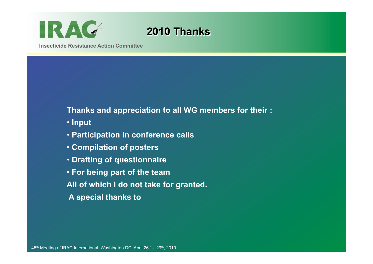

# **2010 Thanks**

**Insecticide Resistance Action Committee** 

#### **Thanks and appreciation to all WG members for their :**

- • **Input**
- • **Participation in conference calls**
- • **Compilation of posters**
- • **Drafting of questionnaire**
- • **For being part of the team**
- **All of which I do not take for granted.**
- **A special thanks to**